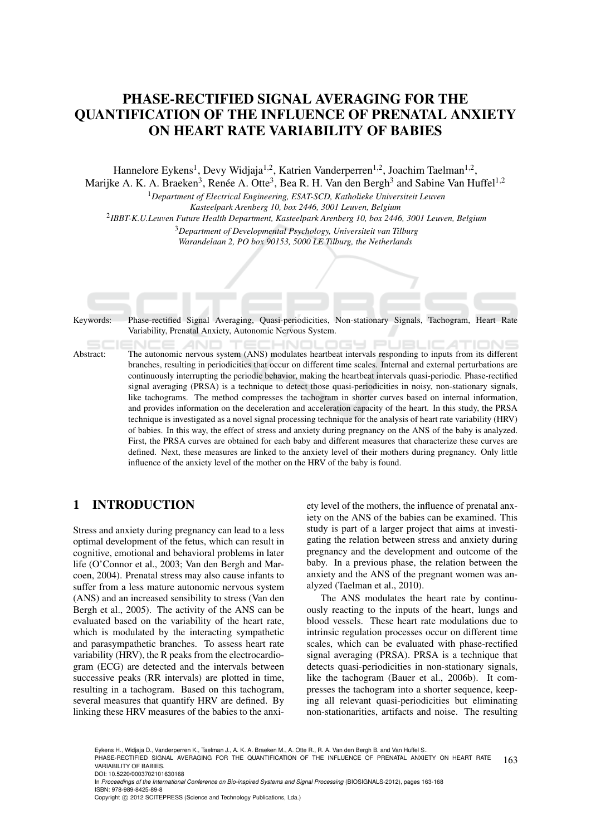# PHASE-RECTIFIED SIGNAL AVERAGING FOR THE QUANTIFICATION OF THE INFLUENCE OF PRENATAL ANXIETY ON HEART RATE VARIABILITY OF BABIES

Hannelore Eykens<sup>1</sup>, Devy Widjaja<sup>1,2</sup>, Katrien Vanderperren<sup>1,2</sup>, Joachim Taelman<sup>1,2</sup>, Marijke A. K. A. Braeken<sup>3</sup>, Renée A. Otte<sup>3</sup>, Bea R. H. Van den Bergh<sup>3</sup> and Sabine Van Huffel<sup>1,2</sup>

<sup>1</sup>*Department of Electrical Engineering, ESAT-SCD, Katholieke Universiteit Leuven Kasteelpark Arenberg 10, box 2446, 3001 Leuven, Belgium*

2 *IBBT-K.U.Leuven Future Health Department, Kasteelpark Arenberg 10, box 2446, 3001 Leuven, Belgium*

<sup>3</sup>*Department of Developmental Psychology, Universiteit van Tilburg Warandelaan 2, PO box 90153, 5000 LE Tilburg, the Netherlands*

Keywords: Phase-rectified Signal Averaging, Quasi-periodicities, Non-stationary Signals, Tachogram, Heart Rate Variability, Prenatal Anxiety, Autonomic Nervous System.

**THNI** - - $\mathbf{I}$ Abstract: The autonomic nervous system (ANS) modulates heartbeat intervals responding to inputs from its different branches, resulting in periodicities that occur on different time scales. Internal and external perturbations are continuously interrupting the periodic behavior, making the heartbeat intervals quasi-periodic. Phase-rectified signal averaging (PRSA) is a technique to detect those quasi-periodicities in noisy, non-stationary signals, like tachograms. The method compresses the tachogram in shorter curves based on internal information, and provides information on the deceleration and acceleration capacity of the heart. In this study, the PRSA technique is investigated as a novel signal processing technique for the analysis of heart rate variability (HRV) of babies. In this way, the effect of stress and anxiety during pregnancy on the ANS of the baby is analyzed. First, the PRSA curves are obtained for each baby and different measures that characterize these curves are defined. Next, these measures are linked to the anxiety level of their mothers during pregnancy. Only little influence of the anxiety level of the mother on the HRV of the baby is found.

# 1 INTRODUCTION

Stress and anxiety during pregnancy can lead to a less optimal development of the fetus, which can result in cognitive, emotional and behavioral problems in later life (O'Connor et al., 2003; Van den Bergh and Marcoen, 2004). Prenatal stress may also cause infants to suffer from a less mature autonomic nervous system (ANS) and an increased sensibility to stress (Van den Bergh et al., 2005). The activity of the ANS can be evaluated based on the variability of the heart rate, which is modulated by the interacting sympathetic and parasympathetic branches. To assess heart rate variability (HRV), the R peaks from the electrocardiogram (ECG) are detected and the intervals between successive peaks (RR intervals) are plotted in time, resulting in a tachogram. Based on this tachogram, several measures that quantify HRV are defined. By linking these HRV measures of the babies to the anxiety level of the mothers, the influence of prenatal anxiety on the ANS of the babies can be examined. This study is part of a larger project that aims at investigating the relation between stress and anxiety during pregnancy and the development and outcome of the baby. In a previous phase, the relation between the anxiety and the ANS of the pregnant women was analyzed (Taelman et al., 2010).

The ANS modulates the heart rate by continuously reacting to the inputs of the heart, lungs and blood vessels. These heart rate modulations due to intrinsic regulation processes occur on different time scales, which can be evaluated with phase-rectified signal averaging (PRSA). PRSA is a technique that detects quasi-periodicities in non-stationary signals, like the tachogram (Bauer et al., 2006b). It compresses the tachogram into a shorter sequence, keeping all relevant quasi-periodicities but eliminating non-stationarities, artifacts and noise. The resulting

Eykens H., Widjaja D., Vanderperren K., Taelman J., A. K. A. Braeken M., A. Otte R., R. A. Van den Bergh B. and Van Huffel S..

163 PHASE-RECTIFIED SIGNAL AVERAGING FOR THE QUANTIFICATION OF THE INFLUENCE OF PRENATAL ANXIETY ON HEART RATE VARIABILITY OF BABIES.

DOI: 10.5220/0003702101630168

In *Proceedings of the International Conference on Bio-inspired Systems and Signal Processing* (BIOSIGNALS-2012), pages 163-168 ISBN: 978-989-8425-89-8

Copyright © 2012 SCITEPRESS (Science and Technology Publications, Lda.)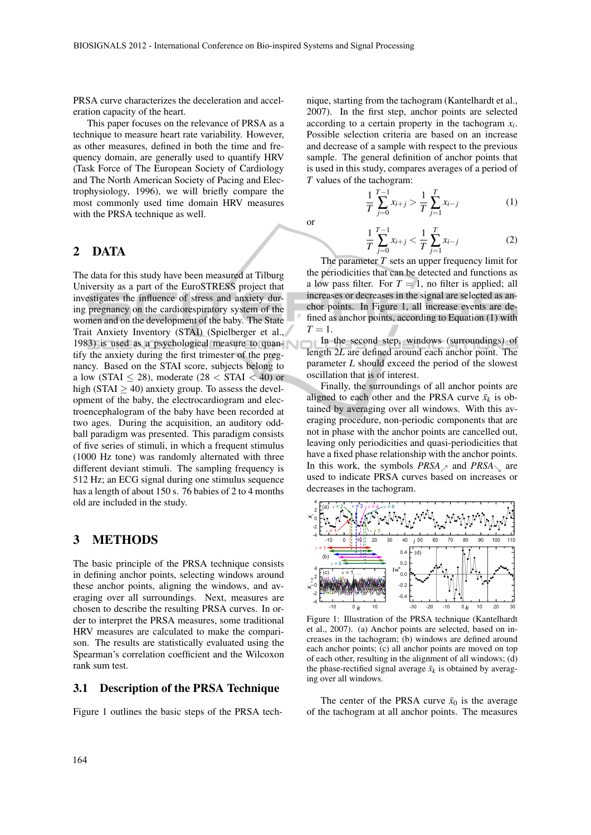or

PRSA curve characterizes the deceleration and acceleration capacity of the heart.

This paper focuses on the relevance of PRSA as a technique to measure heart rate variability. However, as other measures, defined in both the time and frequency domain, are generally used to quantify HRV (Task Force of The European Society of Cardiology and The North American Society of Pacing and Electrophysiology, 1996), we will briefly compare the most commonly used time domain HRV measures with the PRSA technique as well.

#### 2 DATA

The data for this study have been measured at Tilburg University as a part of the EuroSTRESS project that investigates the influence of stress and anxiety during pregnancy on the cardiorespiratory system of the women and on the development of the baby. The State Trait Anxiety Inventory (STAI) (Spielberger et al., 1983) is used as a psychological measure to quantify the anxiety during the first trimester of the pregnancy. Based on the STAI score, subjects belong to a low (STAI  $\leq$  28), moderate (28  $<$  STAI  $<$  40) or high (STAI  $>$  40) anxiety group. To assess the development of the baby, the electrocardiogram and electroencephalogram of the baby have been recorded at two ages. During the acquisition, an auditory oddball paradigm was presented. This paradigm consists of five series of stimuli, in which a frequent stimulus (1000 Hz tone) was randomly alternated with three different deviant stimuli. The sampling frequency is 512 Hz; an ECG signal during one stimulus sequence has a length of about 150 s. 76 babies of 2 to 4 months old are included in the study.

## 3 METHODS

The basic principle of the PRSA technique consists in defining anchor points, selecting windows around these anchor points, aligning the windows, and averaging over all surroundings. Next, measures are chosen to describe the resulting PRSA curves. In order to interpret the PRSA measures, some traditional HRV measures are calculated to make the comparison. The results are statistically evaluated using the Spearman's correlation coefficient and the Wilcoxon rank sum test.

#### 3.1 Description of the PRSA Technique

Figure 1 outlines the basic steps of the PRSA tech-

nique, starting from the tachogram (Kantelhardt et al., 2007). In the first step, anchor points are selected according to a certain property in the tachogram *x<sup>i</sup>* . Possible selection criteria are based on an increase and decrease of a sample with respect to the previous sample. The general definition of anchor points that is used in this study, compares averages of a period of *T* values of the tachogram:

$$
\frac{1}{T}\sum_{j=0}^{T-1}x_{i+j} > \frac{1}{T}\sum_{j=1}^{T}x_{i-j}
$$
(1)

$$
\frac{1}{T} \sum_{j=0}^{T-1} x_{i+j} < \frac{1}{T} \sum_{j=1}^{T} x_{i-j} \tag{2}
$$

The parameter *T* sets an upper frequency limit for the periodicities that can be detected and functions as a low pass filter. For  $T = 1$ , no filter is applied; all increases or decreases in the signal are selected as anchor points. In Figure 1, all increase events are defined as anchor points, according to Equation (1) with  $T = 1$ .

In the second step, windows (surroundings) of length 2*L* are defined around each anchor point. The parameter *L* should exceed the period of the slowest oscillation that is of interest.

Finally, the surroundings of all anchor points are aligned to each other and the PRSA curve  $\bar{x}_k$  is obtained by averaging over all windows. With this averaging procedure, non-periodic components that are not in phase with the anchor points are cancelled out, leaving only periodicities and quasi-periodicities that have a fixed phase relationship with the anchor points. In this work, the symbols  $PRSA \geq$  and  $PRSA \geq$  are used to indicate PRSA curves based on increases or decreases in the tachogram.



Figure 1: Illustration of the PRSA technique (Kantelhardt et al., 2007). (a) Anchor points are selected, based on increases in the tachogram; (b) windows are defined around each anchor points; (c) all anchor points are moved on top of each other, resulting in the alignment of all windows; (d) the phase-rectified signal average  $\bar{x}_k$  is obtained by averaging over all windows.

The center of the PRSA curve  $\bar{x}_0$  is the average of the tachogram at all anchor points. The measures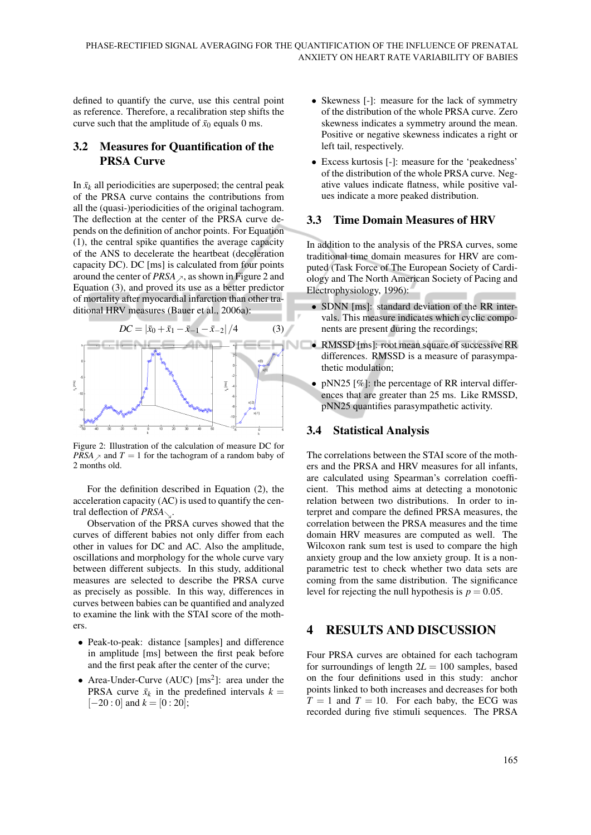defined to quantify the curve, use this central point as reference. Therefore, a recalibration step shifts the curve such that the amplitude of  $\bar{x}_0$  equals 0 ms.

### 3.2 Measures for Quantification of the PRSA Curve

In  $\bar{x}_k$  all periodicities are superposed; the central peak of the PRSA curve contains the contributions from all the (quasi-)periodicities of the original tachogram. The deflection at the center of the PRSA curve depends on the definition of anchor points. For Equation (1), the central spike quantifies the average capacity of the ANS to decelerate the heartbeat (deceleration capacity DC). DC [ms] is calculated from four points around the center of *PRSA*  $\lambda$ , as shown in Figure 2 and Equation (3), and proved its use as a better predictor of mortality after myocardial infarction than other traditional HRV measures (Bauer et al., 2006a):



Figure 2: Illustration of the calculation of measure DC for *PRSA*  $\ge$  and *T* = 1 for the tachogram of a random baby of 2 months old.

For the definition described in Equation (2), the acceleration capacity (AC) is used to quantify the central deflection of  $PRSA_{\nwarrow}$ .

Observation of the PRSA curves showed that the curves of different babies not only differ from each other in values for DC and AC. Also the amplitude, oscillations and morphology for the whole curve vary between different subjects. In this study, additional measures are selected to describe the PRSA curve as precisely as possible. In this way, differences in curves between babies can be quantified and analyzed to examine the link with the STAI score of the mothers.

- Peak-to-peak: distance [samples] and difference in amplitude [ms] between the first peak before and the first peak after the center of the curve;
- Area-Under-Curve (AUC)  $\text{[ms}^2\text{]}$ : area under the PRSA curve  $\bar{x}_k$  in the predefined intervals  $k =$  $[-20:0]$  and  $k = [0:20]$ ;
- Skewness [-]: measure for the lack of symmetry of the distribution of the whole PRSA curve. Zero skewness indicates a symmetry around the mean. Positive or negative skewness indicates a right or left tail, respectively.
- Excess kurtosis [-]: measure for the 'peakedness' of the distribution of the whole PRSA curve. Negative values indicate flatness, while positive values indicate a more peaked distribution.

#### 3.3 Time Domain Measures of HRV

In addition to the analysis of the PRSA curves, some traditional time domain measures for HRV are computed (Task Force of The European Society of Cardiology and The North American Society of Pacing and Electrophysiology, 1996):

- SDNN [ms]: standard deviation of the RR intervals. This measure indicates which cyclic components are present during the recordings;
- RMSSD [ms]: root mean square of successive RR differences. RMSSD is a measure of parasympathetic modulation;
- pNN25 [%]: the percentage of RR interval differences that are greater than 25 ms. Like RMSSD, pNN25 quantifies parasympathetic activity.

#### 3.4 Statistical Analysis

The correlations between the STAI score of the mothers and the PRSA and HRV measures for all infants, are calculated using Spearman's correlation coefficient. This method aims at detecting a monotonic relation between two distributions. In order to interpret and compare the defined PRSA measures, the correlation between the PRSA measures and the time domain HRV measures are computed as well. The Wilcoxon rank sum test is used to compare the high anxiety group and the low anxiety group. It is a nonparametric test to check whether two data sets are coming from the same distribution. The significance level for rejecting the null hypothesis is  $p = 0.05$ .

#### 4 RESULTS AND DISCUSSION

Four PRSA curves are obtained for each tachogram for surroundings of length  $2L = 100$  samples, based on the four definitions used in this study: anchor points linked to both increases and decreases for both  $T = 1$  and  $T = 10$ . For each baby, the ECG was recorded during five stimuli sequences. The PRSA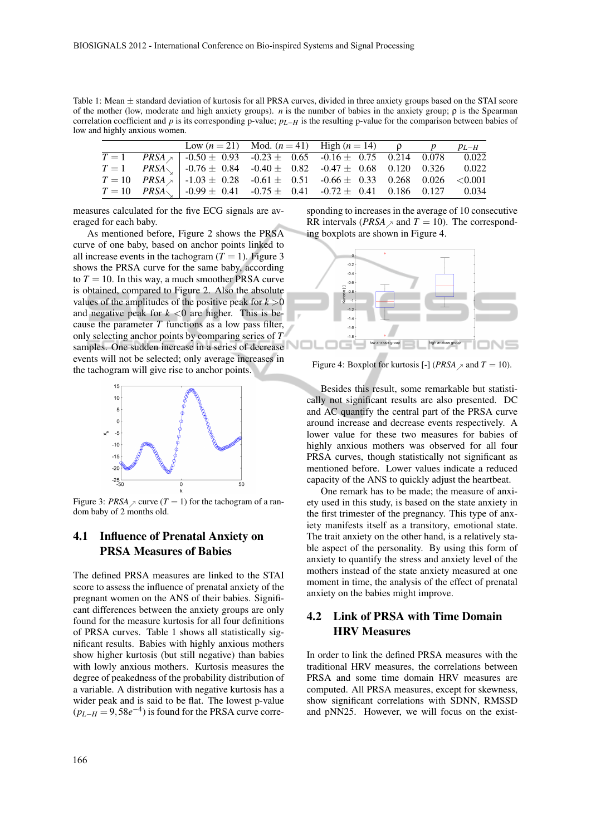Table 1: Mean  $\pm$  standard deviation of kurtosis for all PRSA curves, divided in three anxiety groups based on the STAI score of the mother (low, moderate and high anxiety groups). *n* is the number of babies in the anxiety group; ρ is the Spearman correlation coefficient and *p* is its corresponding p-value; *pL*−*H* is the resulting p-value for the comparison between babies of low and highly anxious women.

|  | $\overline{\text{Low}(n=21)}$ Mod. $(n=41)$ High $(n=14)$ $\rho$ $p$ $p_{L-H}$                      |  |  |
|--|-----------------------------------------------------------------------------------------------------|--|--|
|  | $T = 1$ PRSA   -0.50 ± 0.93 -0.23 ± 0.65 -0.16 ± 0.75 0.214 0.078 0.022                             |  |  |
|  | $T = 1$ $PRSA_{\searrow}$   -0.76 ± 0.84 -0.40 ± 0.82 -0.47 ± 0.68 0.120 0.326 0.022                |  |  |
|  | $T = 10$ $PRSA \tbinom{3}{}$ -1.03 ± 0.28 -0.61 ± 0.51 -0.66 ± 0.33 0.268 0.026 <0.001              |  |  |
|  | $T = 10$ $PRSA$ $\sim$ $\vert$ -0.99 $\pm$ 0.41 -0.75 $\pm$ 0.41 -0.72 $\pm$ 0.41 0.186 0.127 0.034 |  |  |

measures calculated for the five ECG signals are averaged for each baby.

As mentioned before, Figure 2 shows the PRSA curve of one baby, based on anchor points linked to all increase events in the tachogram  $(T = 1)$ . Figure 3 shows the PRSA curve for the same baby, according to  $T = 10$ . In this way, a much smoother PRSA curve is obtained, compared to Figure 2. Also the absolute values of the amplitudes of the positive peak for  $k > 0$ and negative peak for  $k < 0$  are higher. This is because the parameter *T* functions as a low pass filter, only selecting anchor points by comparing series of *T* samples. One sudden increase in a series of decrease events will not be selected; only average increases in the tachogram will give rise to anchor points.



Figure 3: *PRSA*  $\ge$  curve (*T* = 1) for the tachogram of a random baby of 2 months old.

#### 4.1 Influence of Prenatal Anxiety on PRSA Measures of Babies

The defined PRSA measures are linked to the STAI score to assess the influence of prenatal anxiety of the pregnant women on the ANS of their babies. Significant differences between the anxiety groups are only found for the measure kurtosis for all four definitions of PRSA curves. Table 1 shows all statistically significant results. Babies with highly anxious mothers show higher kurtosis (but still negative) than babies with lowly anxious mothers. Kurtosis measures the degree of peakedness of the probability distribution of a variable. A distribution with negative kurtosis has a wider peak and is said to be flat. The lowest p-value  $(p_{L-H} = 9,58e^{-4})$  is found for the PRSA curve corre-

sponding to increases in the average of 10 consecutive RR intervals (*PRSA*  $\ge$  and *T* = 10). The corresponding boxplots are shown in Figure 4.



Figure 4: Boxplot for kurtosis [-] (*PRSA*  $\ge$  and *T* = 10).

Besides this result, some remarkable but statistically not significant results are also presented. DC and AC quantify the central part of the PRSA curve around increase and decrease events respectively. A lower value for these two measures for babies of highly anxious mothers was observed for all four PRSA curves, though statistically not significant as mentioned before. Lower values indicate a reduced capacity of the ANS to quickly adjust the heartbeat.

One remark has to be made; the measure of anxiety used in this study, is based on the state anxiety in the first trimester of the pregnancy. This type of anxiety manifests itself as a transitory, emotional state. The trait anxiety on the other hand, is a relatively stable aspect of the personality. By using this form of anxiety to quantify the stress and anxiety level of the mothers instead of the state anxiety measured at one moment in time, the analysis of the effect of prenatal anxiety on the babies might improve.

## 4.2 Link of PRSA with Time Domain HRV Measures

In order to link the defined PRSA measures with the traditional HRV measures, the correlations between PRSA and some time domain HRV measures are computed. All PRSA measures, except for skewness, show significant correlations with SDNN, RMSSD and pNN25. However, we will focus on the exist-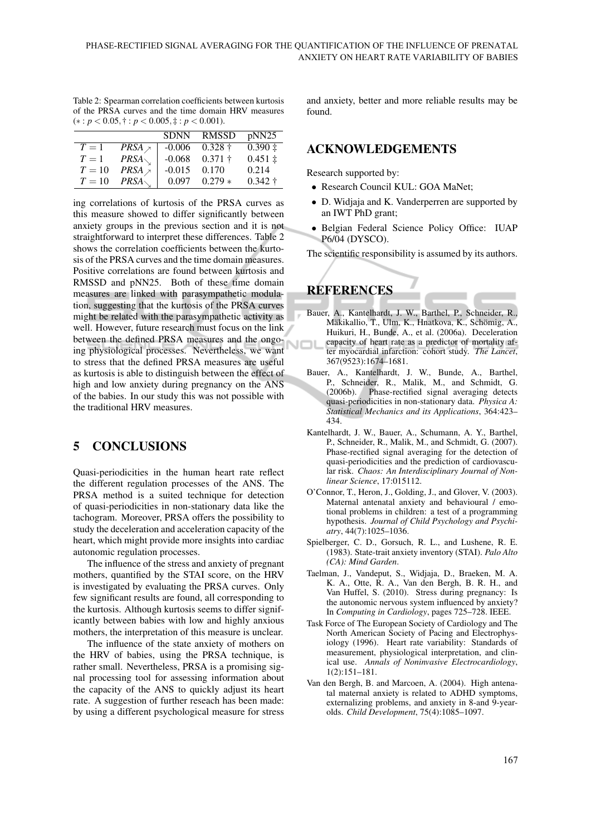| Table 2: Spearman correlation coefficients between kurtosis |  |  |  |  |  |  |  |
|-------------------------------------------------------------|--|--|--|--|--|--|--|
| of the PRSA curves and the time domain HRV measures         |  |  |  |  |  |  |  |
| $(*): p < 0.05, \dagger: p < 0.005, \dagger: p < 0.001$ .   |  |  |  |  |  |  |  |

|        |                          | <b>SDNN</b> | RMSSD        | pNN25       |
|--------|--------------------------|-------------|--------------|-------------|
| $T=1$  | $PRSA \nightharpoondown$ | $-0.006$    | $0.328 +$    | $0.390 \pm$ |
| $T=1$  | $PRSA_{\diagdown}$       | $-0.068$    | $0.371 \;$ † | $0.451 \pm$ |
| $T=10$ | $PRSA \nightharpoondown$ | $-0.015$    | 0.170        | 0.214       |
| $T=10$ | PRSA                     | 0.097       | $0.279*$     | $0.342 +$   |

ing correlations of kurtosis of the PRSA curves as this measure showed to differ significantly between anxiety groups in the previous section and it is not straightforward to interpret these differences. Table 2 shows the correlation coefficients between the kurtosis of the PRSA curves and the time domain measures. Positive correlations are found between kurtosis and RMSSD and pNN25. Both of these time domain measures are linked with parasympathetic modulation, suggesting that the kurtosis of the PRSA curves might be related with the parasympathetic activity as well. However, future research must focus on the link between the defined PRSA measures and the ongoing physiological processes. Nevertheless, we want to stress that the defined PRSA measures are useful as kurtosis is able to distinguish between the effect of high and low anxiety during pregnancy on the ANS of the babies. In our study this was not possible with the traditional HRV measures.

## 5 CONCLUSIONS

Quasi-periodicities in the human heart rate reflect the different regulation processes of the ANS. The PRSA method is a suited technique for detection of quasi-periodicities in non-stationary data like the tachogram. Moreover, PRSA offers the possibility to study the deceleration and acceleration capacity of the heart, which might provide more insights into cardiac autonomic regulation processes.

The influence of the stress and anxiety of pregnant mothers, quantified by the STAI score, on the HRV is investigated by evaluating the PRSA curves. Only few significant results are found, all corresponding to the kurtosis. Although kurtosis seems to differ significantly between babies with low and highly anxious mothers, the interpretation of this measure is unclear.

The influence of the state anxiety of mothers on the HRV of babies, using the PRSA technique, is rather small. Nevertheless, PRSA is a promising signal processing tool for assessing information about the capacity of the ANS to quickly adjust its heart rate. A suggestion of further reseach has been made: by using a different psychological measure for stress

and anxiety, better and more reliable results may be found.

### ACKNOWLEDGEMENTS

Research supported by:

- Research Council KUL: GOA MaNet;
- D. Widjaja and K. Vanderperren are supported by an IWT PhD grant;
- Belgian Federal Science Policy Office: IUAP P6/04 (DYSCO).

The scientific responsibility is assumed by its authors.

# **REFERENCES**

- Bauer, A., Kantelhardt, J. W., Barthel, P., Schneider, R., Mäkikallio, T., Ulm, K., Hnatkova, K., Schömig, A., Huikuri, H., Bunde, A., et al. (2006a). Deceleration capacity of heart rate as a predictor of mortality after myocardial infarction: cohort study. *The Lancet*, 367(9523):1674–1681.
- Bauer, A., Kantelhardt, J. W., Bunde, A., Barthel, P., Schneider, R., Malik, M., and Schmidt, G. (2006b). Phase-rectified signal averaging detects quasi-periodicities in non-stationary data. *Physica A: Statistical Mechanics and its Applications*, 364:423– 434.
- Kantelhardt, J. W., Bauer, A., Schumann, A. Y., Barthel, P., Schneider, R., Malik, M., and Schmidt, G. (2007). Phase-rectified signal averaging for the detection of quasi-periodicities and the prediction of cardiovascular risk. *Chaos: An Interdisciplinary Journal of Nonlinear Science*, 17:015112.
- O'Connor, T., Heron, J., Golding, J., and Glover, V. (2003). Maternal antenatal anxiety and behavioural / emotional problems in children: a test of a programming hypothesis. *Journal of Child Psychology and Psychiatry*, 44(7):1025–1036.
- Spielberger, C. D., Gorsuch, R. L., and Lushene, R. E. (1983). State-trait anxiety inventory (STAI). *Palo Alto (CA): Mind Garden*.
- Taelman, J., Vandeput, S., Widjaja, D., Braeken, M. A. K. A., Otte, R. A., Van den Bergh, B. R. H., and Van Huffel, S. (2010). Stress during pregnancy: Is the autonomic nervous system influenced by anxiety? In *Computing in Cardiology*, pages 725–728. IEEE.
- Task Force of The European Society of Cardiology and The North American Society of Pacing and Electrophysiology (1996). Heart rate variability: Standards of measurement, physiological interpretation, and clinical use. *Annals of Noninvasive Electrocardiology*, 1(2):151–181.
- Van den Bergh, B. and Marcoen, A. (2004). High antenatal maternal anxiety is related to ADHD symptoms, externalizing problems, and anxiety in 8-and 9-yearolds. *Child Development*, 75(4):1085–1097.